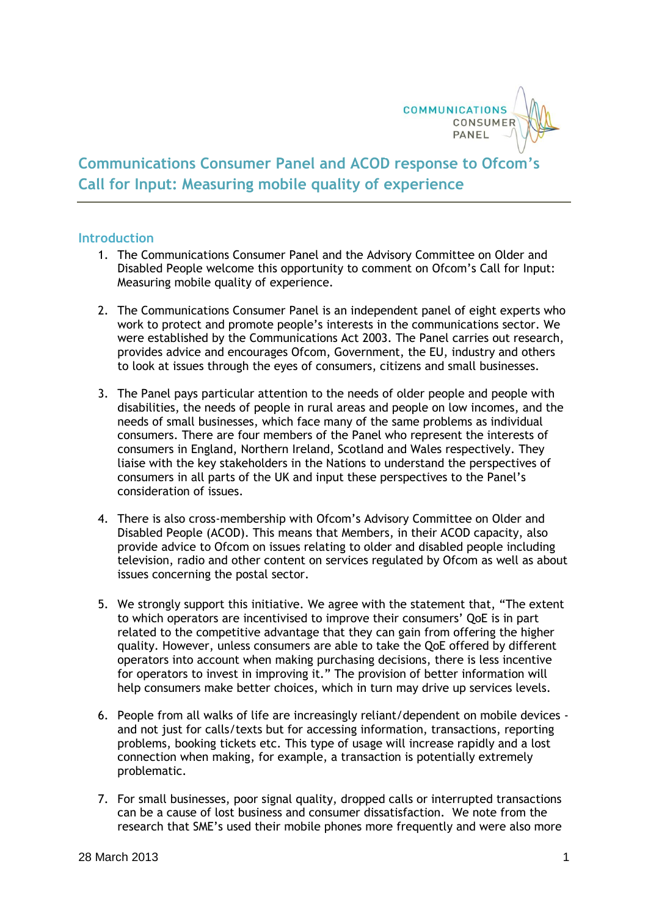

## **Communications Consumer Panel and ACOD response to Ofcom's Call for Input: Measuring mobile quality of experience**

## **Introduction**

- 1. The Communications Consumer Panel and the Advisory Committee on Older and Disabled People welcome this opportunity to comment on Ofcom's Call for Input: Measuring mobile quality of experience.
- 2. The Communications Consumer Panel is an independent panel of eight experts who work to protect and promote people's interests in the communications sector. We were established by the Communications Act 2003. The Panel carries out research, provides advice and encourages Ofcom, Government, the EU, industry and others to look at issues through the eyes of consumers, citizens and small businesses.
- 3. The Panel pays particular attention to the needs of older people and people with disabilities, the needs of people in rural areas and people on low incomes, and the needs of small businesses, which face many of the same problems as individual consumers. There are four members of the Panel who represent the interests of consumers in England, Northern Ireland, Scotland and Wales respectively. They liaise with the key stakeholders in the Nations to understand the perspectives of consumers in all parts of the UK and input these perspectives to the Panel's consideration of issues.
- 4. There is also cross-membership with Ofcom's Advisory Committee on Older and Disabled People (ACOD). This means that Members, in their ACOD capacity, also provide advice to Ofcom on issues relating to older and disabled people including television, radio and other content on services regulated by Ofcom as well as about issues concerning the postal sector.
- 5. We strongly support this initiative. We agree with the statement that, "The extent to which operators are incentivised to improve their consumers' QoE is in part related to the competitive advantage that they can gain from offering the higher quality. However, unless consumers are able to take the QoE offered by different operators into account when making purchasing decisions, there is less incentive for operators to invest in improving it." The provision of better information will help consumers make better choices, which in turn may drive up services levels.
- 6. People from all walks of life are increasingly reliant/dependent on mobile devices and not just for calls/texts but for accessing information, transactions, reporting problems, booking tickets etc. This type of usage will increase rapidly and a lost connection when making, for example, a transaction is potentially extremely problematic.
- 7. For small businesses, poor signal quality, dropped calls or interrupted transactions can be a cause of lost business and consumer dissatisfaction. We note from the research that SME's used their mobile phones more frequently and were also more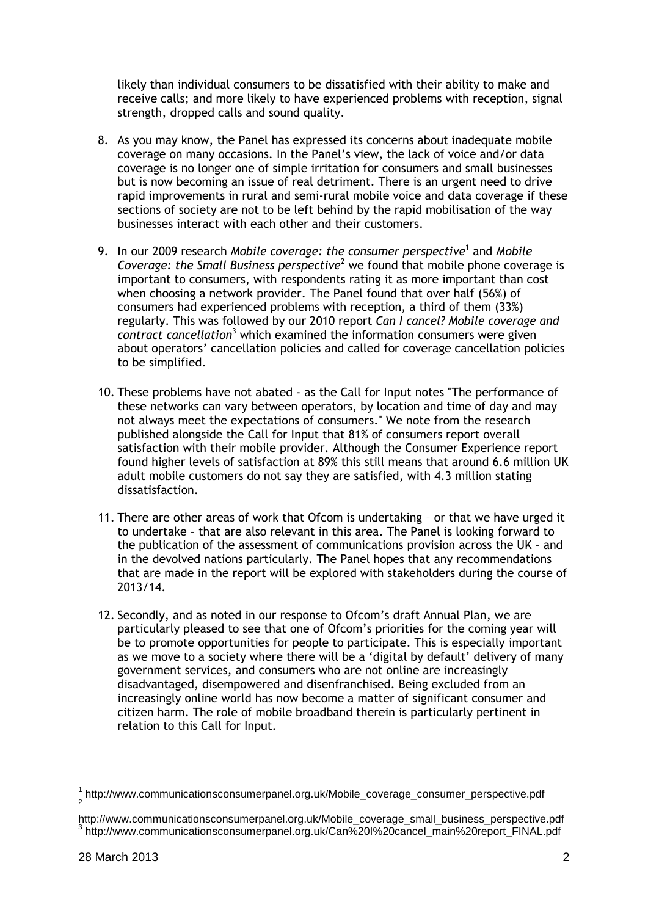likely than individual consumers to be dissatisfied with their ability to make and receive calls; and more likely to have experienced problems with reception, signal strength, dropped calls and sound quality.

- 8. As you may know, the Panel has expressed its concerns about inadequate mobile coverage on many occasions. In the Panel's view, the lack of voice and/or data coverage is no longer one of simple irritation for consumers and small businesses but is now becoming an issue of real detriment. There is an urgent need to drive rapid improvements in rural and semi-rural mobile voice and data coverage if these sections of society are not to be left behind by the rapid mobilisation of the way businesses interact with each other and their customers.
- 9. In our 2009 research *Mobile coverage: the consumer perspective*<sup>1</sup> and *Mobile Coverage: the Small Business perspective*<sup>2</sup> we found that mobile phone coverage is important to consumers, with respondents rating it as more important than cost when choosing a network provider. The Panel found that over half (56%) of consumers had experienced problems with reception, a third of them (33%) regularly. This was followed by our 2010 report *Can I cancel? Mobile coverage and contract cancellation*<sup>3</sup> which examined the information consumers were given about operators' cancellation policies and called for coverage cancellation policies to be simplified.
- 10. These problems have not abated as the Call for Input notes "The performance of these networks can vary between operators, by location and time of day and may not always meet the expectations of consumers." We note from the research published alongside the Call for Input that 81% of consumers report overall satisfaction with their mobile provider. Although the Consumer Experience report found higher levels of satisfaction at 89% this still means that around 6.6 million UK adult mobile customers do not say they are satisfied, with 4.3 million stating dissatisfaction.
- 11. There are other areas of work that Ofcom is undertaking or that we have urged it to undertake – that are also relevant in this area. The Panel is looking forward to the publication of the assessment of communications provision across the UK – and in the devolved nations particularly. The Panel hopes that any recommendations that are made in the report will be explored with stakeholders during the course of 2013/14.
- 12. Secondly, and as noted in our response to Ofcom's draft Annual Plan, we are particularly pleased to see that one of Ofcom's priorities for the coming year will be to promote opportunities for people to participate. This is especially important as we move to a society where there will be a 'digital by default' delivery of many government services, and consumers who are not online are increasingly disadvantaged, disempowered and disenfranchised. Being excluded from an increasingly online world has now become a matter of significant consumer and citizen harm. The role of mobile broadband therein is particularly pertinent in relation to this Call for Input.

<sup>-</sup><sup>1</sup> http://www.communicationsconsumerpanel.org.uk/Mobile\_coverage\_consumer\_perspective.pdf 2

http://www.communicationsconsumerpanel.org.uk/Mobile\_coverage\_small\_business\_perspective.pdf 3 http://www.communicationsconsumerpanel.org.uk/Can%20I%20cancel\_main%20report\_FINAL.pdf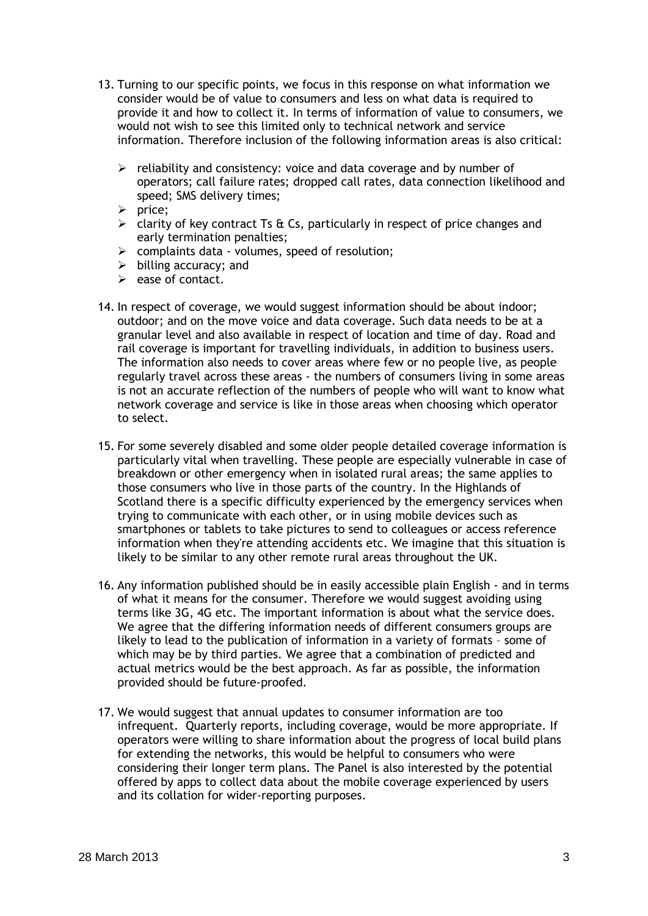- 13. Turning to our specific points, we focus in this response on what information we consider would be of value to consumers and less on what data is required to provide it and how to collect it. In terms of information of value to consumers, we would not wish to see this limited only to technical network and service information. Therefore inclusion of the following information areas is also critical:
	- $\triangleright$  reliability and consistency: voice and data coverage and by number of operators; call failure rates; dropped call rates, data connection likelihood and speed; SMS delivery times;
	- $\triangleright$  price:
	- $\geq$  clarity of key contract Ts & Cs, particularly in respect of price changes and early termination penalties;
	- $\triangleright$  complaints data volumes, speed of resolution;
	- $\triangleright$  billing accuracy; and
	- $\triangleright$  ease of contact.
- 14. In respect of coverage, we would suggest information should be about indoor; outdoor; and on the move voice and data coverage. Such data needs to be at a granular level and also available in respect of location and time of day. Road and rail coverage is important for travelling individuals, in addition to business users. The information also needs to cover areas where few or no people live, as people regularly travel across these areas - the numbers of consumers living in some areas is not an accurate reflection of the numbers of people who will want to know what network coverage and service is like in those areas when choosing which operator to select.
- 15. For some severely disabled and some older people detailed coverage information is particularly vital when travelling. These people are especially vulnerable in case of breakdown or other emergency when in isolated rural areas; the same applies to those consumers who live in those parts of the country. In the Highlands of Scotland there is a specific difficulty experienced by the emergency services when trying to communicate with each other, or in using mobile devices such as smartphones or tablets to take pictures to send to colleagues or access reference information when they're attending accidents etc. We imagine that this situation is likely to be similar to any other remote rural areas throughout the UK.
- 16. Any information published should be in easily accessible plain English and in terms of what it means for the consumer. Therefore we would suggest avoiding using terms like 3G, 4G etc. The important information is about what the service does. We agree that the differing information needs of different consumers groups are likely to lead to the publication of information in a variety of formats – some of which may be by third parties. We agree that a combination of predicted and actual metrics would be the best approach. As far as possible, the information provided should be future-proofed.
- 17. We would suggest that annual updates to consumer information are too infrequent. Quarterly reports, including coverage, would be more appropriate. If operators were willing to share information about the progress of local build plans for extending the networks, this would be helpful to consumers who were considering their longer term plans. The Panel is also interested by the potential offered by apps to collect data about the mobile coverage experienced by users and its collation for wider-reporting purposes.